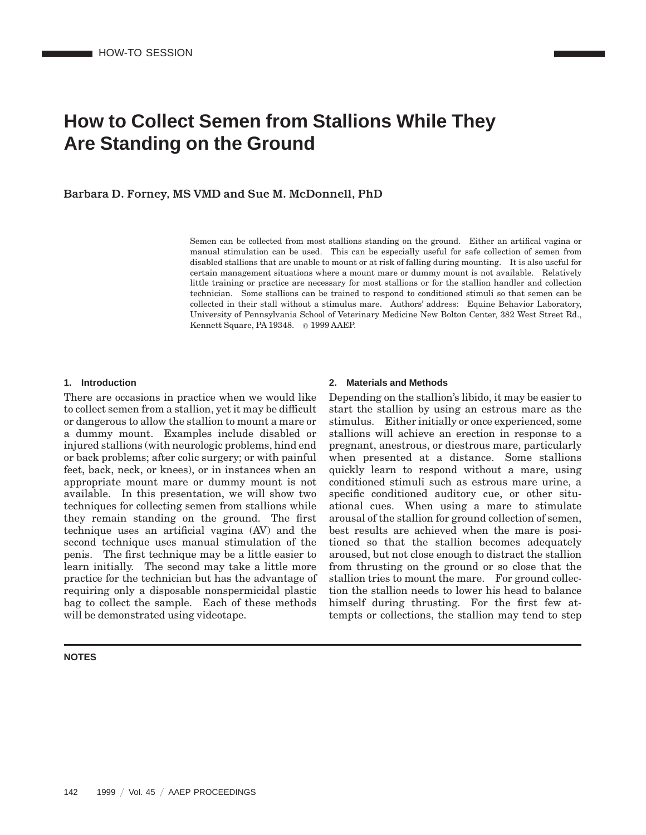# **How to Collect Semen from Stallions While They Are Standing on the Ground**

Barbara D. Forney, MS VMD and Sue M. McDonnell, PhD

Semen can be collected from most stallions standing on the ground. Either an artifical vagina or manual stimulation can be used. This can be especially useful for safe collection of semen from disabled stallions that are unable to mount or at risk of falling during mounting. It is also useful for certain management situations where a mount mare or dummy mount is not available. Relatively little training or practice are necessary for most stallions or for the stallion handler and collection technician. Some stallions can be trained to respond to conditioned stimuli so that semen can be collected in their stall without a stimulus mare. Authors' address: Equine Behavior Laboratory, University of Pennsylvania School of Veterinary Medicine New Bolton Center, 382 West Street Rd., Kennett Square, PA 19348. © 1999 AAEP.

### **1. Introduction**

There are occasions in practice when we would like to collect semen from a stallion, yet it may be difficult or dangerous to allow the stallion to mount a mare or a dummy mount. Examples include disabled or injured stallions (with neurologic problems, hind end or back problems; after colic surgery; or with painful feet, back, neck, or knees), or in instances when an appropriate mount mare or dummy mount is not available. In this presentation, we will show two techniques for collecting semen from stallions while they remain standing on the ground. The first technique uses an artificial vagina (AV) and the second technique uses manual stimulation of the penis. The first technique may be a little easier to learn initially. The second may take a little more practice for the technician but has the advantage of requiring only a disposable nonspermicidal plastic bag to collect the sample. Each of these methods will be demonstrated using videotape.

#### **NOTES**

## **2. Materials and Methods**

Depending on the stallion's libido, it may be easier to start the stallion by using an estrous mare as the stimulus. Either initially or once experienced, some stallions will achieve an erection in response to a pregnant, anestrous, or diestrous mare, particularly when presented at a distance. Some stallions quickly learn to respond without a mare, using conditioned stimuli such as estrous mare urine, a specific conditioned auditory cue, or other situational cues. When using a mare to stimulate arousal of the stallion for ground collection of semen, best results are achieved when the mare is positioned so that the stallion becomes adequately aroused, but not close enough to distract the stallion from thrusting on the ground or so close that the stallion tries to mount the mare. For ground collection the stallion needs to lower his head to balance himself during thrusting. For the first few attempts or collections, the stallion may tend to step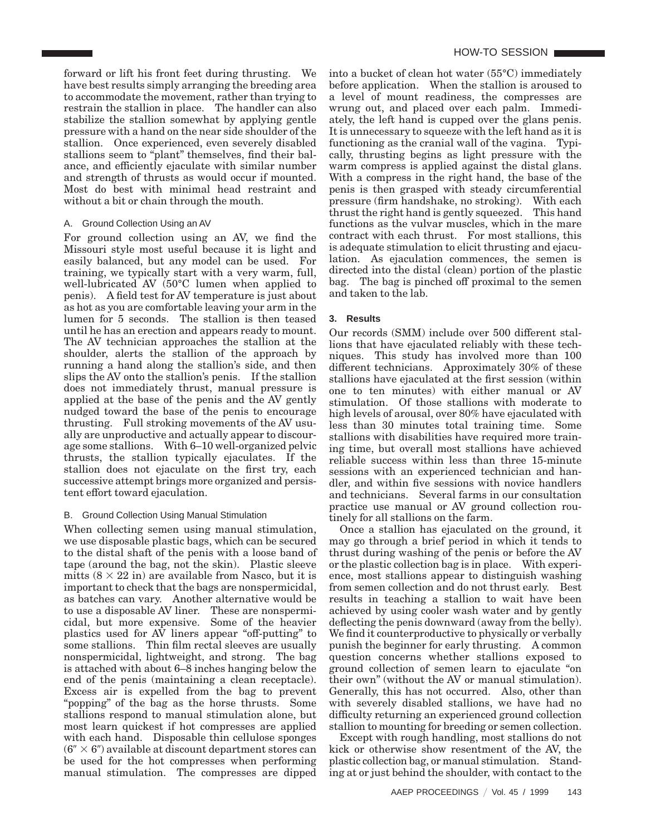forward or lift his front feet during thrusting. We have best results simply arranging the breeding area to accommodate the movement, rather than trying to restrain the stallion in place. The handler can also stabilize the stallion somewhat by applying gentle pressure with a hand on the near side shoulder of the stallion. Once experienced, even severely disabled stallions seem to "plant" themselves, find their balance, and efficiently ejaculate with similar number and strength of thrusts as would occur if mounted. Most do best with minimal head restraint and without a bit or chain through the mouth.

# A. Ground Collection Using an AV

For ground collection using an AV, we find the Missouri style most useful because it is light and easily balanced, but any model can be used. For training, we typically start with a very warm, full, well-lubricated AV (50°C lumen when applied to penis). A field test for AV temperature is just about as hot as you are comfortable leaving your arm in the lumen for 5 seconds. The stallion is then teased until he has an erection and appears ready to mount. The AV technician approaches the stallion at the shoulder, alerts the stallion of the approach by running a hand along the stallion's side, and then slips the AV onto the stallion's penis. If the stallion does not immediately thrust, manual pressure is applied at the base of the penis and the AV gently nudged toward the base of the penis to encourage thrusting. Full stroking movements of the AV usually are unproductive and actually appear to discourage some stallions. With 6–10 well-organized pelvic thrusts, the stallion typically ejaculates. If the stallion does not ejaculate on the first try, each successive attempt brings more organized and persistent effort toward ejaculation.

## B. Ground Collection Using Manual Stimulation

When collecting semen using manual stimulation, we use disposable plastic bags, which can be secured to the distal shaft of the penis with a loose band of tape (around the bag, not the skin). Plastic sleeve mitts  $(8 \times 22)$  in) are available from Nasco, but it is important to check that the bags are nonspermicidal, as batches can vary. Another alternative would be to use a disposable AV liner. These are nonspermicidal, but more expensive. Some of the heavier plastics used for AV liners appear "off-putting" to some stallions. Thin film rectal sleeves are usually nonspermicidal, lightweight, and strong. The bag is attached with about 6–8 inches hanging below the end of the penis (maintaining a clean receptacle). Excess air is expelled from the bag to prevent ''popping'' of the bag as the horse thrusts. Some stallions respond to manual stimulation alone, but most learn quickest if hot compresses are applied with each hand. Disposable thin cellulose sponges  $(6'' \times 6'')$  available at discount department stores can be used for the hot compresses when performing manual stimulation. The compresses are dipped

into a bucket of clean hot water (55°C) immediately before application. When the stallion is aroused to a level of mount readiness, the compresses are wrung out, and placed over each palm. Immediately, the left hand is cupped over the glans penis. It is unnecessary to squeeze with the left hand as it is functioning as the cranial wall of the vagina. Typically, thrusting begins as light pressure with the warm compress is applied against the distal glans. With a compress in the right hand, the base of the penis is then grasped with steady circumferential pressure (firm handshake, no stroking). With each thrust the right hand is gently squeezed. This hand functions as the vulvar muscles, which in the mare contract with each thrust. For most stallions, this is adequate stimulation to elicit thrusting and ejaculation. As ejaculation commences, the semen is directed into the distal (clean) portion of the plastic bag. The bag is pinched off proximal to the semen and taken to the lab.

# **3. Results**

Our records (SMM) include over 500 different stallions that have ejaculated reliably with these techniques. This study has involved more than 100 different technicians. Approximately 30% of these stallions have ejaculated at the first session (within one to ten minutes) with either manual or AV stimulation. Of those stallions with moderate to high levels of arousal, over 80% have ejaculated with less than 30 minutes total training time. Some stallions with disabilities have required more training time, but overall most stallions have achieved reliable success within less than three 15-minute sessions with an experienced technician and handler, and within five sessions with novice handlers and technicians. Several farms in our consultation practice use manual or AV ground collection routinely for all stallions on the farm.

Once a stallion has ejaculated on the ground, it may go through a brief period in which it tends to thrust during washing of the penis or before the AV or the plastic collection bag is in place. With experience, most stallions appear to distinguish washing from semen collection and do not thrust early. Best results in teaching a stallion to wait have been achieved by using cooler wash water and by gently deflecting the penis downward (away from the belly). We find it counterproductive to physically or verbally punish the beginner for early thrusting. A common question concerns whether stallions exposed to ground collection of semen learn to ejaculate ''on their own'' (without the AV or manual stimulation). Generally, this has not occurred. Also, other than with severely disabled stallions, we have had no difficulty returning an experienced ground collection stallion to mounting for breeding or semen collection.

Except with rough handling, most stallions do not kick or otherwise show resentment of the AV, the plastic collection bag, or manual stimulation. Standing at or just behind the shoulder, with contact to the